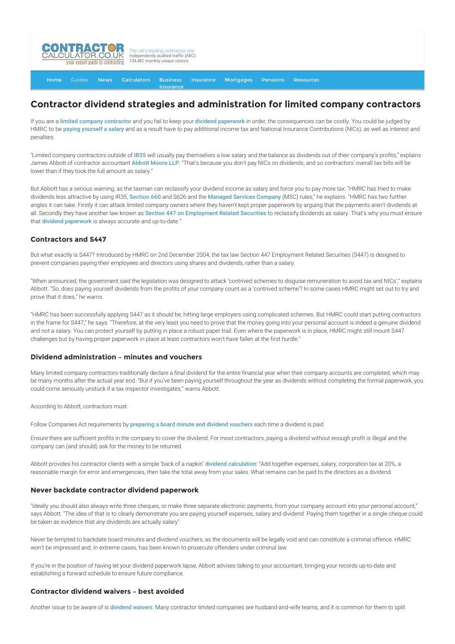

[Home](http://www.contractorcalculator.co.uk/) [Guides](http://www.contractorcalculator.co.uk/Articles.aspx) [News](http://www.contractorcalculator.co.uk/Contractor_News.aspx) [Calculators](http://www.contractorcalculator.co.uk/Calculators.aspx) Business Insurance [Insurance](http://www.contractorcalculator.co.uk/Contractor_Insurances.aspx) [Mortgages](http://www.contractorcalculator.co.uk/Contractor_Mortgages.aspx) [Pensions](http://www.contractorcalculator.co.uk/Contractor_Pensions.aspx) [Resources](http://www.contractorcalculator.co.uk/Contractor_Resources.aspx)

# **Contractor dividend strategies and administration for limited company contractors**

If you are a [limited company contractor](http://www.contractorcalculator.co.uk/limited_companies.aspx) and you fail to keep your [dividend paperwork](http://www.contractorcalculator.co.uk/declaring_dividends_paperwork.aspx) in order, the consequences can be costly. You could be judged by HMRC to be [paying yourself a salary](http://www.contractorcalculator.co.uk/contractor_salary_director.aspx) and as a result have to pay additional income tax and National Insurance Contributions (NICs), as well as interest and penalties.

"Limited company contractors outside of [IR35](http://www.contractorcalculator.co.uk/what_is_ir35.aspx) will usually pay themselves a low salary and the balance as dividends out of their company's profits," explains James Abbott of contractor accountant [Abbott Moore LLP](http://www.contractorcalculator.co.uk/refer.aspx?site=www.contractorcalculator.co.uk&from=ARTICLE&frompk=CONTRACTOR_DIVIDEND_STRATEGIES_LIMITED_COMPANY&url=http://www.abbottmoore.co.uk/). "That's because you don't pay NICs on dividends, and so contractors' overall tax bills will be lower than if they took the full amount as salary."

But Abbott has a serious warning, as the taxman can reclassify your dividend income as salary and force you to pay more tax. "HMRC has tried to make dividends less attractive by using IR35, [Section 660](http://www.contractorcalculator.co.uk/what_is_section_660.aspx) and S626 and the [Managed Services Company](http://www.contractorcalculator.co.uk/managed_service_companies.aspx) (MSC) rules," he explains. "HMRC has two further angles it can take. Firstly it can attack limited company owners where they haven't kept proper paperwork by arguing that the payments aren't dividends at all. Secondly they have another law known as [Section 447 on Employment Related Securities](http://www.hmrc.gov.uk/shareschemes/) to reclassify dividends as salary. That's why you must ensure that **[dividend paperwork](http://www.contractorcalculator.co.uk/declaring_dividends_paperwork.aspx)** is always accurate and up-to-date."

## **Contractors and S447**

But what exactly is S447? Introduced by HMRC on 2nd December 2004, the tax law Section 447 Employment Related Securities (S447) is designed to prevent companies paying their employees and directors using shares and dividends, rather than a salary.

"When announced, the government said the legislation was designed to attack 'contrived schemes to disguise remuneration to avoid tax and NICs'," explains Abbott. "So, does paying yourself dividends from the profits of your company count as a 'contrived scheme'? In some cases HMRC might set out to try and prove that it does," he warns.

"HMRC has been successfully applying S447 as it should be, hitting large employers using complicated schemes. But HMRC could start putting contractors in the frame for S447," he says. "Therefore, at the very least you need to prove that the money going into your personal account is indeed a genuine dividend and not a salary. You can protect yourself by putting in place a robust paper trail. Even where the paperwork is in place, HMRC might still mount S447 challenges but by having proper paperwork in place at least contractors won't have fallen at the first hurdle."

## **Dividend administration – minutes and vouchers**

Many limited company contractors traditionally declare a final dividend for the entire financial year when their company accounts are completed, which may be many months after the actual year end. "But if you've been paying yourself throughout the year as dividends without completing the formal paperwork, you could come seriously unstuck if a tax inspector investigates," warns Abbott.

According to Abbott, contractors must:

Follow Companies Act requirements by [preparing a board minute and dividend vouchers](http://www.contractorcalculator.co.uk/declaring_dividends_paperwork.aspx) each time a dividend is paid

Ensure there are sufficient profits in the company to cover the dividend. For most contractors, paying a dividend without enough profit is illegal and the company can (and should) ask for the money to be returned.

Abbott provides his contractor clients with a simple 'back of a napkin' [dividend calculation](http://www.contractorcalculator.co.uk/dividends_contracting_explained.aspx): "Add together expenses, salary, corporation tax at 20%, a reasonable margin for error and emergencies, then take the total away from your sales. What remains can be paid to the directors as a dividend.

#### **Never backdate contractor dividend paperwork**

"Ideally you should also always write three cheques, or make three separate electronic payments, from your company account into your personal account," says Abbott. "The idea of that is to clearly demonstrate you are paying yourself expenses, salary and dividend. Paying them together in a single cheque could be taken as evidence that any dividends are actually salary"

Never be tempted to backdate board minutes and dividend vouchers, as the documents will be legally void and can constitute a criminal offence. HMRC won't be impressed and, in extreme cases, has been known to prosecute offenders under criminal law.

If you're in the position of having let your dividend paperwork lapse, Abbott advises talking to your accountant, bringing your records up-to-date and establishing a forward schedule to ensure future compliance.

### **Contractor dividend waivers – best avoided**

Another issue to be aware of is [dividend waivers](http://www.contractorcalculator.co.uk/contractor_dividend_timing_dividend_waivers.aspx). Many contractor limited companies are husband-and-wife teams, and it is common for them to split